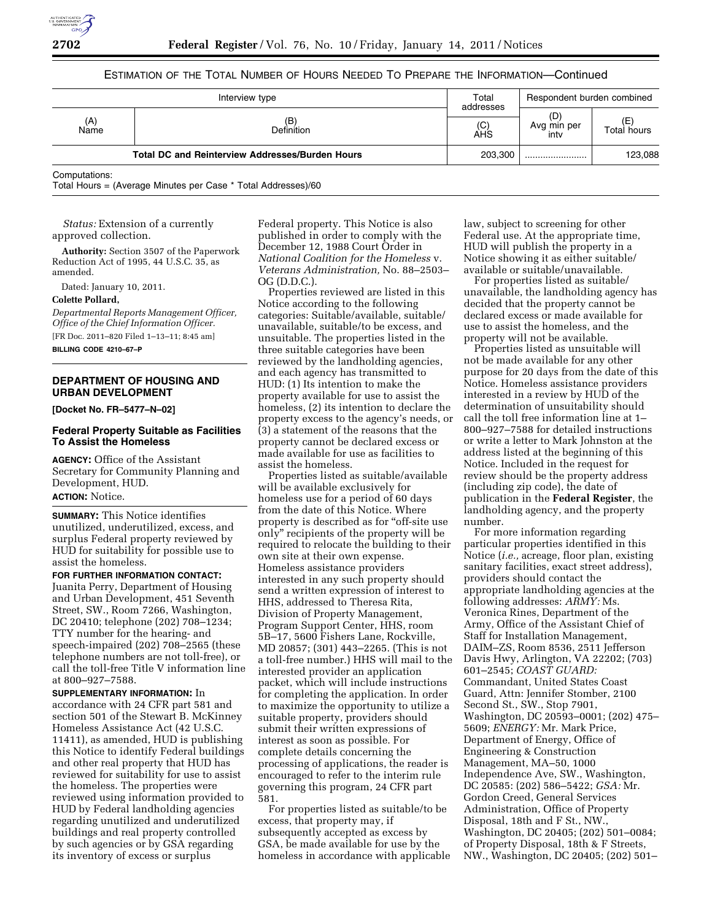

# ESTIMATION OF THE TOTAL NUMBER OF HOURS NEEDED TO PREPARE THE INFORMATION—Continued

| Interview type                                         |                   | Total<br>addresses | Respondent burden combined |                   |
|--------------------------------------------------------|-------------------|--------------------|----------------------------|-------------------|
| (A)<br>Name                                            | (B)<br>Definition | (C)<br>AHS         | (D)<br>Avg min per<br>inty | (E<br>Total hours |
| <b>Total DC and Reinterview Addresses/Burden Hours</b> |                   | 203.300            |                            | 123,088           |
| Computations:                                          |                   |                    |                            |                   |

Total Hours = (Average Minutes per Case \* Total Addresses)/60

*Status:* Extension of a currently approved collection.

**Authority:** Section 3507 of the Paperwork Reduction Act of 1995, 44 U.S.C. 35, as amended.

Dated: January 10, 2011.

### **Colette Pollard,**

*Departmental Reports Management Officer, Office of the Chief Information Officer.*  [FR Doc. 2011–820 Filed 1–13–11; 8:45 am] **BILLING CODE 4210–67–P** 

# **DEPARTMENT OF HOUSING AND URBAN DEVELOPMENT**

**[Docket No. FR–5477–N–02]** 

## **Federal Property Suitable as Facilities To Assist the Homeless**

**AGENCY:** Office of the Assistant Secretary for Community Planning and Development, HUD. **ACTION:** Notice.

**SUMMARY:** This Notice identifies unutilized, underutilized, excess, and surplus Federal property reviewed by HUD for suitability for possible use to assist the homeless.

**FOR FURTHER INFORMATION CONTACT:**  Juanita Perry, Department of Housing and Urban Development, 451 Seventh Street, SW., Room 7266, Washington, DC 20410; telephone (202) 708–1234; TTY number for the hearing- and speech-impaired (202) 708–2565 (these telephone numbers are not toll-free), or call the toll-free Title V information line at 800–927–7588.

**SUPPLEMENTARY INFORMATION:** In accordance with 24 CFR part 581 and section 501 of the Stewart B. McKinney Homeless Assistance Act (42 U.S.C. 11411), as amended, HUD is publishing this Notice to identify Federal buildings and other real property that HUD has reviewed for suitability for use to assist the homeless. The properties were reviewed using information provided to HUD by Federal landholding agencies regarding unutilized and underutilized buildings and real property controlled by such agencies or by GSA regarding its inventory of excess or surplus

Federal property. This Notice is also published in order to comply with the December 12, 1988 Court Order in *National Coalition for the Homeless* v. *Veterans Administration,* No. 88–2503– OG (D.D.C.).

Properties reviewed are listed in this Notice according to the following categories: Suitable/available, suitable/ unavailable, suitable/to be excess, and unsuitable. The properties listed in the three suitable categories have been reviewed by the landholding agencies, and each agency has transmitted to HUD: (1) Its intention to make the property available for use to assist the homeless, (2) its intention to declare the property excess to the agency's needs, or (3) a statement of the reasons that the property cannot be declared excess or made available for use as facilities to assist the homeless.

Properties listed as suitable/available will be available exclusively for homeless use for a period of 60 days from the date of this Notice. Where property is described as for "off-site use only'' recipients of the property will be required to relocate the building to their own site at their own expense. Homeless assistance providers interested in any such property should send a written expression of interest to HHS, addressed to Theresa Rita, Division of Property Management, Program Support Center, HHS, room 5B–17, 5600 Fishers Lane, Rockville, MD 20857; (301) 443–2265. (This is not a toll-free number.) HHS will mail to the interested provider an application packet, which will include instructions for completing the application. In order to maximize the opportunity to utilize a suitable property, providers should submit their written expressions of interest as soon as possible. For complete details concerning the processing of applications, the reader is encouraged to refer to the interim rule governing this program, 24 CFR part 581.

For properties listed as suitable/to be excess, that property may, if subsequently accepted as excess by GSA, be made available for use by the homeless in accordance with applicable

law, subject to screening for other Federal use. At the appropriate time, HUD will publish the property in a Notice showing it as either suitable/ available or suitable/unavailable.

For properties listed as suitable/ unavailable, the landholding agency has decided that the property cannot be declared excess or made available for use to assist the homeless, and the property will not be available.

Properties listed as unsuitable will not be made available for any other purpose for 20 days from the date of this Notice. Homeless assistance providers interested in a review by HUD of the determination of unsuitability should call the toll free information line at 1– 800–927–7588 for detailed instructions or write a letter to Mark Johnston at the address listed at the beginning of this Notice. Included in the request for review should be the property address (including zip code), the date of publication in the **Federal Register**, the landholding agency, and the property number.

For more information regarding particular properties identified in this Notice (*i.e.,* acreage, floor plan, existing sanitary facilities, exact street address), providers should contact the appropriate landholding agencies at the following addresses: *ARMY:* Ms. Veronica Rines, Department of the Army, Office of the Assistant Chief of Staff for Installation Management, DAIM–ZS, Room 8536, 2511 Jefferson Davis Hwy, Arlington, VA 22202; (703) 601–2545; *COAST GUARD:*  Commandant, United States Coast Guard, Attn: Jennifer Stomber, 2100 Second St., SW., Stop 7901, Washington, DC 20593–0001; (202) 475– 5609; *ENERGY:* Mr. Mark Price, Department of Energy, Office of Engineering & Construction Management, MA–50, 1000 Independence Ave, SW., Washington, DC 20585: (202) 586–5422; *GSA:* Mr. Gordon Creed, General Services Administration, Office of Property Disposal, 18th and F St., NW., Washington, DC 20405; (202) 501–0084; of Property Disposal, 18th & F Streets, NW., Washington, DC 20405; (202) 501–